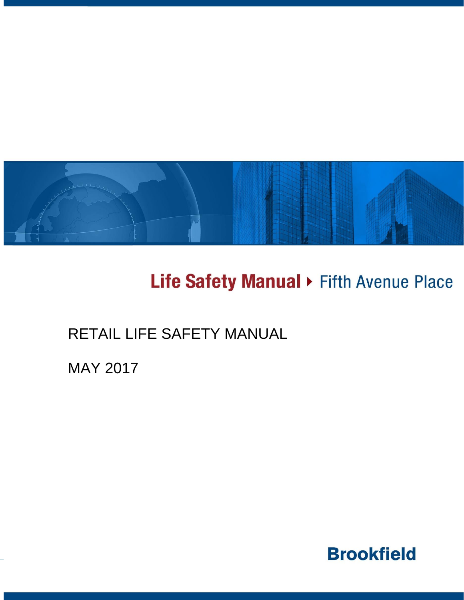

# Life Safety Manual > Fifth Avenue Place

## RETAIL LIFE SAFETY MANUAL

MAY 2017

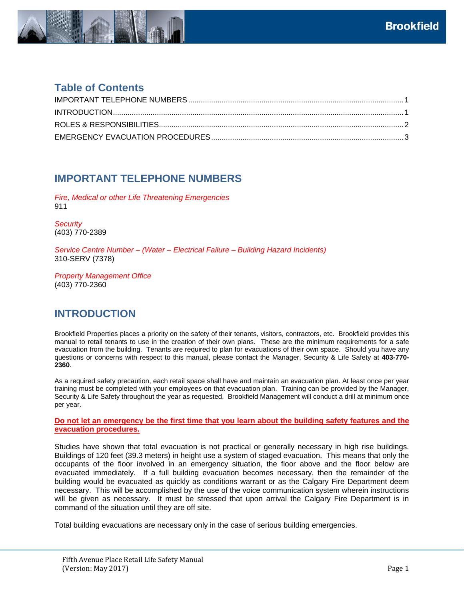

#### **Table of Contents**

#### <span id="page-1-0"></span>**IMPORTANT TELEPHONE NUMBERS**

*Fire, Medical or other Life Threatening Emergencies* 911

*Security* (403) 770-2389

*Service Centre Number – (Water – Electrical Failure – Building Hazard Incidents)* 310-SERV (7378)

<span id="page-1-1"></span>*Property Management Office* (403) 770-2360

#### **INTRODUCTION**

Brookfield Properties places a priority on the safety of their tenants, visitors, contractors, etc. Brookfield provides this manual to retail tenants to use in the creation of their own plans. These are the minimum requirements for a safe evacuation from the building. Tenants are required to plan for evacuations of their own space. Should you have any questions or concerns with respect to this manual, please contact the Manager, Security & Life Safety at **403-770- 2360**.

As a required safety precaution, each retail space shall have and maintain an evacuation plan. At least once per year training must be completed with your employees on that evacuation plan. Training can be provided by the Manager, Security & Life Safety throughout the year as requested. Brookfield Management will conduct a drill at minimum once per year.

**Do not let an emergency be the first time that you learn about the building safety features and the evacuation procedures.** 

Studies have shown that total evacuation is not practical or generally necessary in high rise buildings. Buildings of 120 feet (39.3 meters) in height use a system of staged evacuation. This means that only the occupants of the floor involved in an emergency situation, the floor above and the floor below are evacuated immediately. If a full building evacuation becomes necessary, then the remainder of the building would be evacuated as quickly as conditions warrant or as the Calgary Fire Department deem necessary. This will be accomplished by the use of the voice communication system wherein instructions will be given as necessary. It must be stressed that upon arrival the Calgary Fire Department is in command of the situation until they are off site.

Total building evacuations are necessary only in the case of serious building emergencies.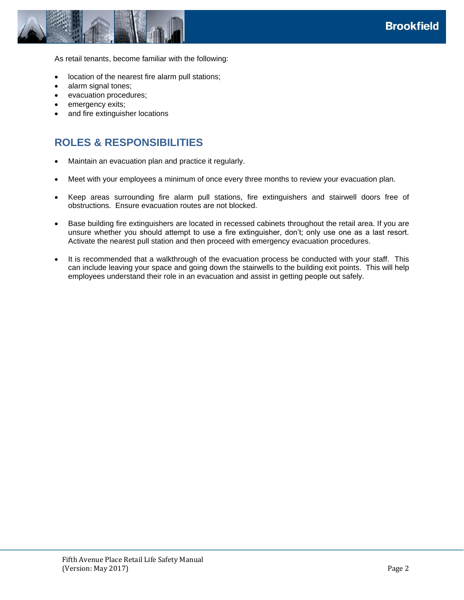



As retail tenants, become familiar with the following:

- location of the nearest fire alarm pull stations;
- alarm signal tones;
- evacuation procedures;
- emergency exits;
- <span id="page-2-0"></span>and fire extinguisher locations

### **ROLES & RESPONSIBILITIES**

- Maintain an evacuation plan and practice it regularly.
- Meet with your employees a minimum of once every three months to review your evacuation plan.
- Keep areas surrounding fire alarm pull stations, fire extinguishers and stairwell doors free of obstructions. Ensure evacuation routes are not blocked.
- Base building fire extinguishers are located in recessed cabinets throughout the retail area. If you are unsure whether you should attempt to use a fire extinguisher, don't; only use one as a last resort. Activate the nearest pull station and then proceed with emergency evacuation procedures.
- It is recommended that a walkthrough of the evacuation process be conducted with your staff. This can include leaving your space and going down the stairwells to the building exit points. This will help employees understand their role in an evacuation and assist in getting people out safely.